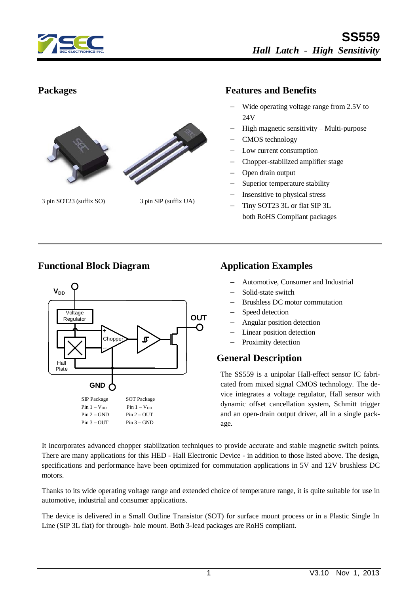



3 pin SOT23 (suffix SO) 3 pin SIP (suffix UA)

#### **Packages Features and Benefits**

- Wide operating voltage range from 2.5V to 24V
- High magnetic sensitivity Multi-purpose
- CMOS technology
- Low current consumption
- Chopper-stabilized amplifier stage
- Open drain output
- Superior temperature stability
- Insensitive to physical stress
- Tiny SOT23 3L or flat SIP 3L both RoHS Compliant packages

## **Functional Block Diagram Application Examples**



- Automotive, Consumer and Industrial
- Solid-state switch
- Brushless DC motor commutation
- Speed detection
- Angular position detection
- Linear position detection
- Proximity detection

### **General Description**

The SS559 is a unipolar Hall-effect sensor IC fabricated from mixed signal CMOS technology. The device integrates a voltage regulator, Hall sensor with dynamic offset cancellation system, Schmitt trigger and an open-drain output driver, all in a single package.

It incorporates advanced chopper stabilization techniques to provide accurate and stable magnetic switch points. There are many applications for this HED - Hall Electronic Device - in addition to those listed above. The design, specifications and performance have been optimized for commutation applications in 5V and 12V brushless DC motors.

Thanks to its wide operating voltage range and extended choice of temperature range, it is quite suitable for use in automotive, industrial and consumer applications.

The device is delivered in a Small Outline Transistor (SOT) for surface mount process or in a Plastic Single In Line (SIP 3L flat) for through- hole mount. Both 3-lead packages are RoHS compliant.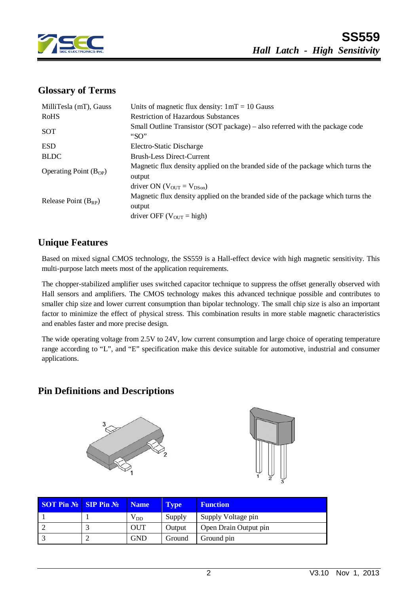

## **Glossary of Terms**

| MilliTesla (mT), Gauss     | Units of magnetic flux density: $1mT = 10$ Gauss                                           |  |  |  |
|----------------------------|--------------------------------------------------------------------------------------------|--|--|--|
| <b>RoHS</b>                | <b>Restriction of Hazardous Substances</b>                                                 |  |  |  |
| <b>SOT</b>                 | Small Outline Transistor (SOT package) – also referred with the package code<br>"SO"       |  |  |  |
| <b>ESD</b>                 | Electro-Static Discharge                                                                   |  |  |  |
| <b>BLDC</b>                | <b>Brush-Less Direct-Current</b>                                                           |  |  |  |
| Operating Point $(B_{OP})$ | Magnetic flux density applied on the branded side of the package which turns the<br>output |  |  |  |
|                            | driver ON ( $V_{\text{OUT}} = V_{\text{DSon}}$ )                                           |  |  |  |
| Release Point $(B_{RP})$   | Magnetic flux density applied on the branded side of the package which turns the<br>output |  |  |  |
|                            | driver OFF ( $V_{\text{OUT}}$ = high)                                                      |  |  |  |

## **Unique Features**

Based on mixed signal CMOS technology, the SS559 is a Hall-effect device with high magnetic sensitivity. This multi-purpose latch meets most of the application requirements.

The chopper-stabilized amplifier uses switched capacitor technique to suppress the offset generally observed with Hall sensors and amplifiers. The CMOS technology makes this advanced technique possible and contributes to smaller chip size and lower current consumption than bipolar technology. The small chip size is also an important factor to minimize the effect of physical stress. This combination results in more stable magnetic characteristics and enables faster and more precise design.

The wide operating voltage from 2.5V to 24V, low current consumption and large choice of operating temperature range according to "L", and "E" specification make this device suitable for automotive, industrial and consumer applications.

## **Pin Definitions and Descriptions**





| <b>SOT Pin <math>\mathbb{N}</math> SIP Pin <math>\mathbb{N}</math></b> | <b>Name</b>  | <b>Type</b> | <b>Function</b>       |
|------------------------------------------------------------------------|--------------|-------------|-----------------------|
|                                                                        | $\rm V_{DD}$ | Supply      | Supply Voltage pin    |
|                                                                        | <b>OUT</b>   | Output      | Open Drain Output pin |
|                                                                        | <b>GND</b>   | Ground      | Ground pin            |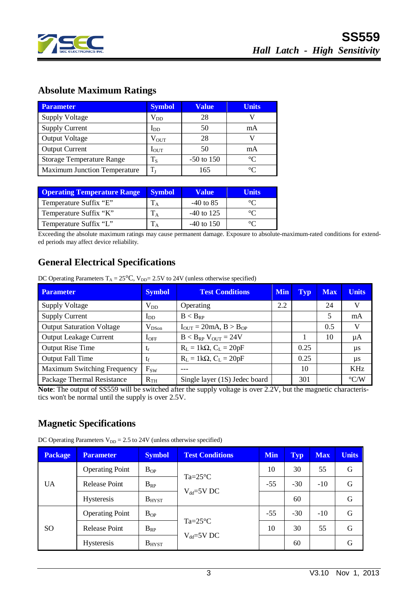

# **Absolute Maximum Ratings**

| <b>Parameter</b>                    | <b>Symbol</b>    | <b>Value</b> | <b>Units</b> |
|-------------------------------------|------------------|--------------|--------------|
| <b>Supply Voltage</b>               | $\rm V_{DD}$     | 28           |              |
| <b>Supply Current</b>               | $I_{DD}$         | 50           | mA           |
| <b>Output Voltage</b>               | $\rm V_{OUT}$    | 28           |              |
| <b>Output Current</b>               | $I_{\text{OUT}}$ | 50           | mA           |
| <b>Storage Temperature Range</b>    | $T_S$            | $-50$ to 150 | $^{\circ}C$  |
| <b>Maximum Junction Temperature</b> | $T_{\rm J}$      | 165          | $\circ$      |

| <b>Operating Temperature Range</b> | <b>Symbol</b> | <b>Value</b> | Units |
|------------------------------------|---------------|--------------|-------|
| Temperature Suffix "E"             |               | $-40$ to 85  |       |
| Temperature Suffix "K"             |               | $-40$ to 125 |       |
| Temperature Suffix "L"             |               | $-40$ to 150 |       |

Exceeding the absolute maximum ratings may cause permanent damage. Exposure to absolute-maximum-rated conditions for extended periods may affect device reliability.

# **General Electrical Specifications**

DC Operating Parameters  $T_A = 25^{\circ}C$ ,  $V_{DD} = 2.5V$  to 24V (unless otherwise specified)

| <b>Parameter</b>                 | <b>Symbol</b> | <b>Test Conditions</b>              |     | <b>Typ</b> | <b>Max</b> | <b>Units</b>       |
|----------------------------------|---------------|-------------------------------------|-----|------------|------------|--------------------|
| <b>Supply Voltage</b>            | $V_{DD}$      | Operating                           | 2.2 |            | 24         | V                  |
| <b>Supply Current</b>            | $I_{DD}$      | $B < B_{RP}$                        |     |            | 5          | mA                 |
| <b>Output Saturation Voltage</b> | $V_{DSon}$    | $I_{OUT} = 20mA, B > B_{OP}$        |     |            | 0.5        | V                  |
| <b>Output Leakage Current</b>    | $I_{OFF}$     | $B < B_{RP}$ V <sub>OUT</sub> = 24V |     |            | 10         | μA                 |
| <b>Output Rise Time</b>          | $t_{r}$       | $R_L = 1k\Omega$ , $C_L = 20pF$     |     | 0.25       |            | μs                 |
| <b>Output Fall Time</b>          | $t_f$         | $R_L = 1k\Omega$ , $C_L = 20pF$     |     | 0.25       |            | μs                 |
| Maximum Switching Frequency      | $F_{SW}$      |                                     |     | 10         |            | KHz                |
| Package Thermal Resistance       | $R_{TH}$      | Single layer (1S) Jedec board       |     | 301        |            | $\rm ^{\circ} C/W$ |

**Note**: The output of SS559 will be switched after the supply voltage is over 2.2V, but the magnetic characteristics won't be normal until the supply is over 2.5V.

## **Magnetic Specifications**

DC Operating Parameters  $V_{DD} = 2.5$  to 24V (unless otherwise specified)

| <b>Package</b> | <b>Parameter</b>                                     | <b>Symbol</b> | <b>Test Conditions</b>               | <b>Min</b> | <b>Typ</b> | <b>Max</b> | <b>Units</b> |
|----------------|------------------------------------------------------|---------------|--------------------------------------|------------|------------|------------|--------------|
|                | <b>Operating Point</b>                               | $B_{OP}$      |                                      | 10         | 30         | 55         | G            |
| <b>UA</b>      | $Ta=25^{\circ}C$<br><b>Release Point</b><br>$B_{RP}$ |               | $-55$                                | $-30$      | $-10$      | G          |              |
|                | <b>Hysteresis</b>                                    | $B_{H YST}$   | $V_{dd} = 5V$ DC                     |            | 60         |            | G            |
| <sub>SO</sub>  | <b>Operating Point</b>                               | $B_{OP}$      | $Ta=25^{\circ}C$<br>$V_{dd} = 5V$ DC | $-55$      | $-30$      | $-10$      | G            |
|                | <b>Release Point</b>                                 | $B_{RP}$      |                                      | 10         | 30         | 55         | G            |
|                | <b>Hysteresis</b>                                    | $B_{H YST}$   |                                      |            | 60         |            | G            |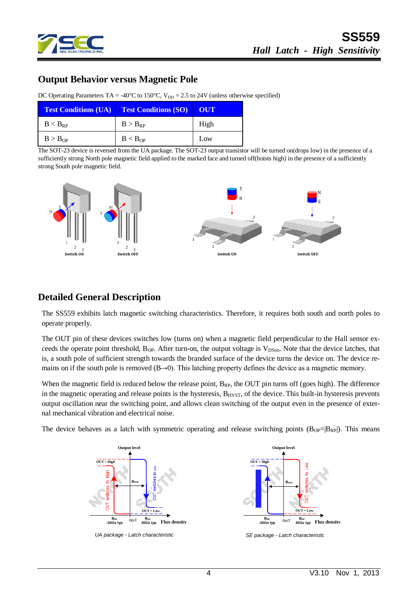

## **Output Behavior versus Magnetic Pole**

| <b>Test Conditions (UA)</b> Test Conditions (SO) |                     | OUT  |  |
|--------------------------------------------------|---------------------|------|--|
| $B < B_{RP}$                                     | $B > B_{RP}$        | High |  |
| B > B <sub>OP</sub>                              | B < B <sub>OP</sub> | Low  |  |

DC Operating Parameters TA = -40°C to 150°C,  $V_{DD} = 2.5$  to 24V (unless otherwise specified)

The SOT-23 device is reversed from the UA package. The SOT-23 output transistor will be turned on(drops low) in the presence of a sufficiently strong North pole magnetic field applied to the marked face and turned off(hoists high) in the presence of a sufficiently strong South pole magnetic field.



## **Detailed General Description**

The SS559 exhibits latch magnetic switching characteristics. Therefore, it requires both south and north poles to operate properly.

The OUT pin of these devices switches low (turns on) when a magnetic field perpendicular to the Hall sensor exceeds the operate point threshold,  $B_{OP}$ . After turn-on, the output voltage is  $V_{DSon}$ . Note that the device latches, that is, a south pole of sufficient strength towards the branded surface of the device turns the device on. The device remains on if the south pole is removed  $(B\rightarrow 0)$ . This latching property defines the device as a magnetic memory.

When the magnetic field is reduced below the release point,  $B_{RP}$ , the OUT pin turns off (goes high). The difference in the magnetic operating and release points is the hysteresis,  $B<sub>HYST</sub>$ , of the device. This built-in hysteresis prevents output oscillation near the switching point, and allows clean switching of the output even in the presence of external mechanical vibration and electrical noise.

The device behaves as a latch with symmetric operating and release switching points  $(B_{OP}=|B_{RP}|)$ . This means





*SE package - Latch characteristic*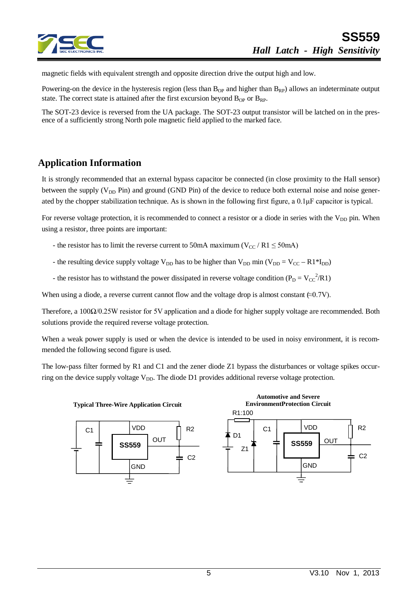

magnetic fields with equivalent strength and opposite direction drive the output high and low.

Powering-on the device in the hysteresis region (less than  $B_{OP}$  and higher than  $B_{RP}$ ) allows an indeterminate output state. The correct state is attained after the first excursion beyond  $B_{OP}$  or  $B_{RP}$ .

The SOT-23 device is reversed from the UA package. The SOT-23 output transistor will be latched on in the presence of a sufficiently strong North pole magnetic field applied to the marked face.

## **Application Information**

It is strongly recommended that an external bypass capacitor be connected (in close proximity to the Hall sensor) between the supply ( $V_{DD}$  Pin) and ground (GND Pin) of the device to reduce both external noise and noise generated by the chopper stabilization technique. As is shown in the following first figure, a 0.1μF capacitor is typical.

For reverse voltage protection, it is recommended to connect a resistor or a diode in series with the  $V_{DD}$  pin. When using a resistor, three points are important:

- the resistor has to limit the reverse current to 50mA maximum ( $V_{CC}$  / R1  $\leq$  50mA)
- the resulting device supply voltage  $V_{DD}$  has to be higher than  $V_{DD}$  min ( $V_{DD} = V_{CC} R1*I_{DD}$ )
- the resistor has to withstand the power dissipated in reverse voltage condition ( $P_D = V_{CC}^2 / R1$ )

When using a diode, a reverse current cannot flow and the voltage drop is almost constant  $(\approx 0.7V)$ .

Therefore, a 100Ω/0.25W resistor for 5V application and a diode for higher supply voltage are recommended. Both solutions provide the required reverse voltage protection.

When a weak power supply is used or when the device is intended to be used in noisy environment, it is recommended the following second figure is used.

The low-pass filter formed by R1 and C1 and the zener diode Z1 bypass the disturbances or voltage spikes occurring on the device supply voltage  $V_{DD}$ . The diode D1 provides additional reverse voltage protection.

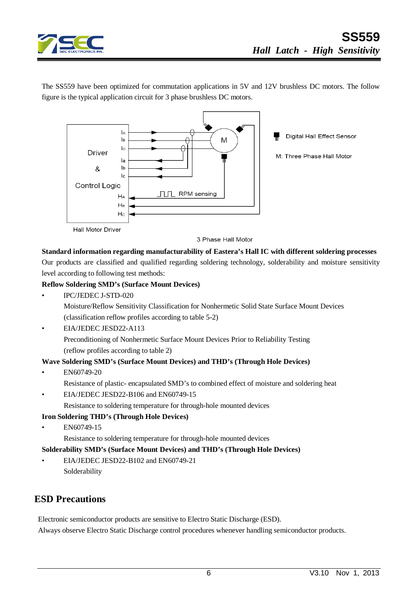

The SS559 have been optimized for commutation applications in 5V and 12V brushless DC motors. The follow figure is the typical application circuit for 3 phase brushless DC motors.



**Hall Motor Driver** 

3 Phase Hall Motor

#### **Standard information regarding manufacturability of Eastera's Hall IC with different soldering processes**

Our products are classified and qualified regarding soldering technology, solderability and moisture sensitivity level according to following test methods:

#### **Reflow Soldering SMD's (Surface Mount Devices)**

• IPC/JEDEC J-STD-020

Moisture/Reflow Sensitivity Classification for Nonhermetic Solid State Surface Mount Devices (classification reflow profiles according to table 5-2)

• EIA/JEDEC JESD22-A113

Preconditioning of Nonhermetic Surface Mount Devices Prior to Reliability Testing (reflow profiles according to table 2)

#### **Wave Soldering SMD's (Surface Mount Devices) and THD's (Through Hole Devices)**

- EN60749-20
	- Resistance of plastic- encapsulated SMD's to combined effect of moisture and soldering heat
- EIA/JEDEC JESD22-B106 and EN60749-15
	- Resistance to soldering temperature for through-hole mounted devices

#### **Iron Soldering THD's (Through Hole Devices)**

• EN60749-15

Resistance to soldering temperature for through-hole mounted devices

#### **Solderability SMD's (Surface Mount Devices) and THD's (Through Hole Devices)**

• EIA/JEDEC JESD22-B102 and EN60749-21 Solderability

### **ESD Precautions**

Electronic semiconductor products are sensitive to Electro Static Discharge (ESD). Always observe Electro Static Discharge control procedures whenever handling semiconductor products.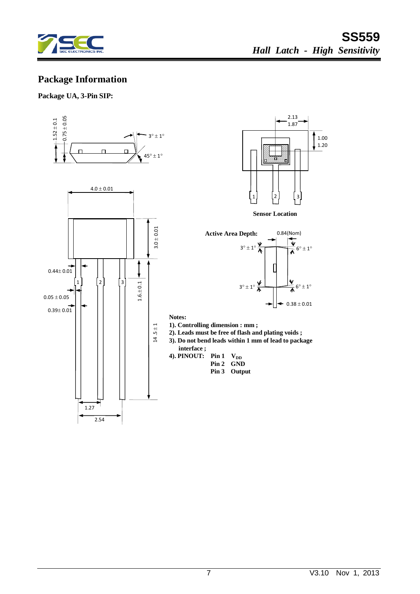

# **Package Information**